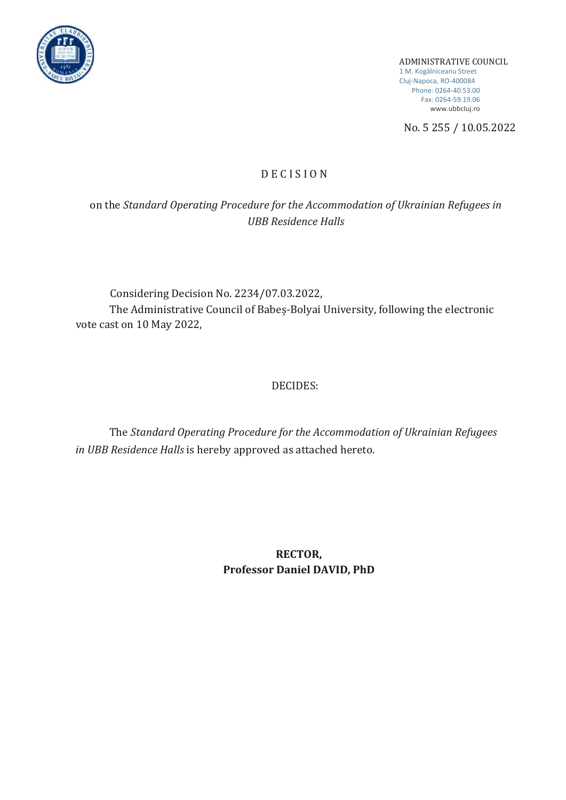

ADMINISTRATIVE COUNCIL 1 M. Kogălniceanu Street Cluj-Napoca, RO-400084 Phone: 0264-40.53.00 Fax: 0264-59.19.06 [www.ubbcIuj.ro](http://www.ubbciuj.ro/)

No. 5 255 / 10.05.2022

### D E C I S I O N

on the *Standard Operating Procedure for the Accommodation of Ukrainian Refugees in UBB Residence Halls*

Considering Decision No. 2234/07.03.2022, The Administrative Council of Babeș-Bolyai University, following the electronic vote cast on 10 May 2022,

# DECIDES:

The *Standard Operating Procedure for the Accommodation of Ukrainian Refugees in UBB Residence Halls* is hereby approved as attached hereto.

> **RECTOR, Professor Daniel DAVID, PhD**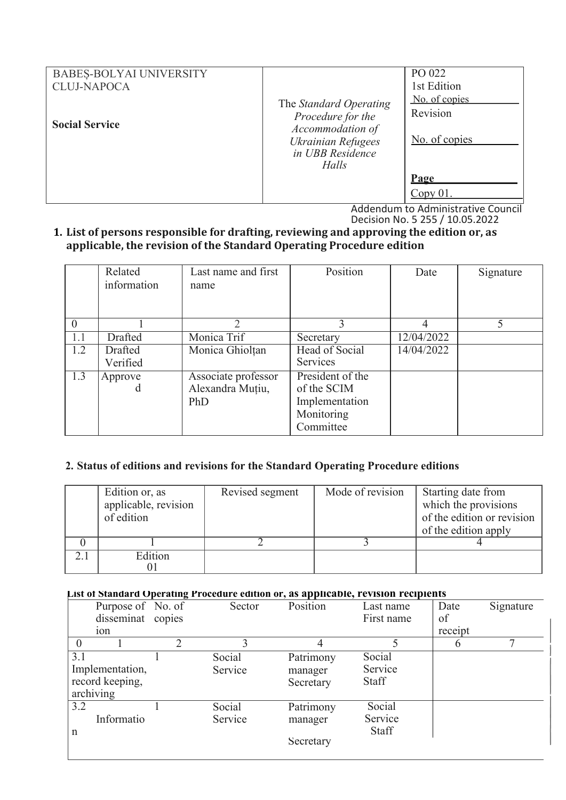| <b>BABES-BOLYAI UNIVERSITY</b> |                                                                                                                    | PO 022                                     |
|--------------------------------|--------------------------------------------------------------------------------------------------------------------|--------------------------------------------|
| <b>CLUJ-NAPOCA</b>             |                                                                                                                    | 1st Edition                                |
| <b>Social Service</b>          | The Standard Operating<br>Procedure for the<br>Accommodation of<br>Ukrainian Refugees<br>in UBB Residence<br>Halls | No. of copies<br>Revision<br>No. of copies |
|                                |                                                                                                                    | Page                                       |
|                                |                                                                                                                    | Copy 01                                    |

Addendum to Administrative Council Decision No. 5 255 / 10.05.2022

## **1. List of persons responsible for drafting, reviewing and approving the edition or, as applicable, the revision of the Standard Operating Procedure edition**

|          | Related<br>information | Last name and first<br>name                    | Position                                                                     | Date       | Signature |
|----------|------------------------|------------------------------------------------|------------------------------------------------------------------------------|------------|-----------|
| $\theta$ |                        |                                                |                                                                              |            | 5         |
| 1.1      | Drafted                | Monica Trif                                    | Secretary                                                                    | 12/04/2022 |           |
| 1.2      | Drafted<br>Verified    | Monica Ghiolțan                                | Head of Social<br><b>Services</b>                                            | 14/04/2022 |           |
| 1.3      | Approve<br>d           | Associate professor<br>Alexandra Muțiu,<br>PhD | President of the<br>of the SCIM<br>Implementation<br>Monitoring<br>Committee |            |           |

### **2. Status of editions and revisions for the Standard Operating Procedure editions**

| Edition or, as<br>applicable, revision<br>of edition | Revised segment | Mode of revision | Starting date from<br>which the provisions<br>of the edition or revision<br>of the edition apply |
|------------------------------------------------------|-----------------|------------------|--------------------------------------------------------------------------------------------------|
|                                                      |                 |                  |                                                                                                  |
| Edition                                              |                 |                  |                                                                                                  |

#### **List of Standard Operating Procedure edition or, as applicable, revision recipients**

|             | Purpose of No. of | Sector  | Position  | Last name    | Date    | Signature |
|-------------|-------------------|---------|-----------|--------------|---------|-----------|
|             | disseminat copies |         |           | First name   | of      |           |
|             | 10 <sub>n</sub>   |         |           |              | receipt |           |
|             |                   |         |           |              |         |           |
| 3.1         |                   | Social  | Patrimony | Social       |         |           |
|             | Implementation,   | Service | manager   | Service      |         |           |
|             | record keeping,   |         | Secretary | <b>Staff</b> |         |           |
|             | archiving         |         |           |              |         |           |
| 3.2         |                   | Social  | Patrimony | Social       |         |           |
|             | Informatio        | Service | manager   | Service      |         |           |
| $\mathbf n$ |                   |         |           | <b>Staff</b> |         |           |
|             |                   |         | Secretary |              |         |           |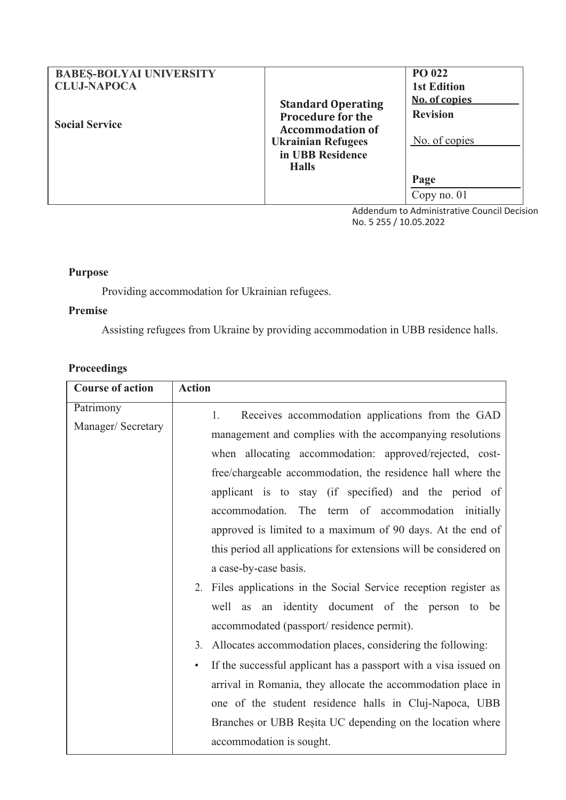| <b>BABES-BOLYAI UNIVERSITY</b><br><b>CLUJ-NAPOCA</b> |                                                                                                               | PO 022<br><b>1st Edition</b>                      |
|------------------------------------------------------|---------------------------------------------------------------------------------------------------------------|---------------------------------------------------|
| <b>Social Service</b>                                | <b>Standard Operating</b><br><b>Procedure for the</b><br><b>Accommodation of</b><br><b>Ukrainian Refugees</b> | No. of copies<br><b>Revision</b><br>No. of copies |
|                                                      | in UBB Residence<br><b>Halls</b>                                                                              | Page<br>Copy no. $01$                             |

Addendum to Administrative Council Decision No. 5 255 / 10.05.2022

## **Purpose**

Providing accommodation for Ukrainian refugees.

## **Premise**

Assisting refugees from Ukraine by providing accommodation in UBB residence halls.

# **Proceedings**

| <b>Course of action</b>         | <b>Action</b>                                                                                                                                                                                                                                                                                                                                                |
|---------------------------------|--------------------------------------------------------------------------------------------------------------------------------------------------------------------------------------------------------------------------------------------------------------------------------------------------------------------------------------------------------------|
| Patrimony<br>Manager/ Secretary | Receives accommodation applications from the GAD<br>1.<br>management and complies with the accompanying resolutions<br>when allocating accommodation: approved/rejected, cost-<br>free/chargeable accommodation, the residence hall where the<br>applicant is to stay (if specified) and the period of<br>accommodation. The term of accommodation initially |
|                                 | approved is limited to a maximum of 90 days. At the end of<br>this period all applications for extensions will be considered on<br>a case-by-case basis.                                                                                                                                                                                                     |
|                                 | Files applications in the Social Service reception register as<br>2.<br>well as an identity document of the person to be<br>accommodated (passport/residence permit).                                                                                                                                                                                        |
|                                 | 3.<br>Allocates accommodation places, considering the following:                                                                                                                                                                                                                                                                                             |
|                                 | If the successful applicant has a passport with a visa issued on<br>$\bullet$<br>arrival in Romania, they allocate the accommodation place in<br>one of the student residence halls in Cluj-Napoca, UBB<br>Branches or UBB Resita UC depending on the location where                                                                                         |
|                                 | accommodation is sought.                                                                                                                                                                                                                                                                                                                                     |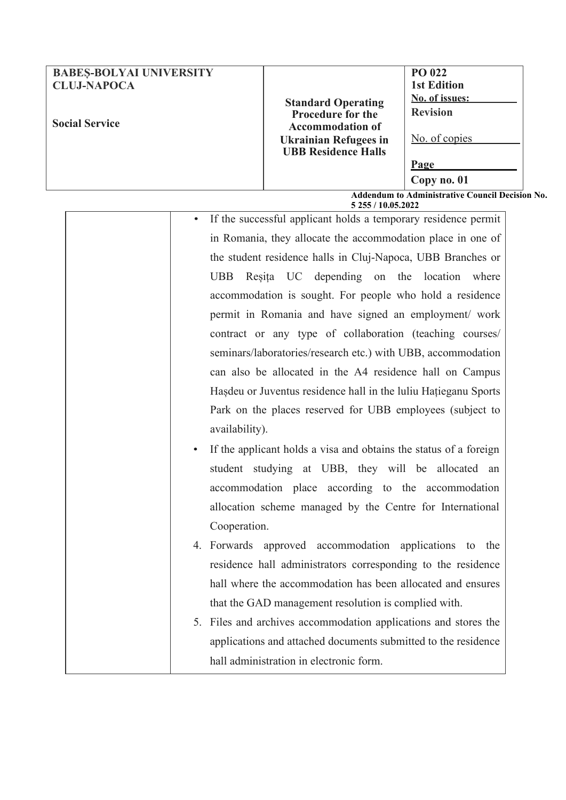| <b>BABES-BOLYAI UNIVERSITY</b><br><b>CLUJ-NAPOCA</b>   |                                                                                  | <b>PO 022</b><br><b>1st Edition</b>      |  |
|--------------------------------------------------------|----------------------------------------------------------------------------------|------------------------------------------|--|
| <b>Social Service</b>                                  | <b>Standard Operating</b><br><b>Procedure for the</b><br><b>Accommodation of</b> | <b>No. of issues:</b><br><b>Revision</b> |  |
|                                                        | <b>Ukrainian Refugees in</b><br><b>UBB Residence Halls</b>                       | No. of copies                            |  |
|                                                        |                                                                                  | <b>Page</b><br>Copy no. 01               |  |
| <b>Addendum to Administrative Council Decision No.</b> |                                                                                  |                                          |  |

**5 255 / 10.05.2022** • If the successful applicant holds a temporary residence permit in Romania, they allocate the accommodation place in one of the student residence halls in Cluj-Napoca, UBB Branches or UBB Reșita UC depending on the location where accommodation is sought. For people who hold a residence permit in Romania and have signed an employment/ work contract or any type of collaboration (teaching courses/ seminars/laboratories/research etc.) with UBB, accommodation can also be allocated in the A4 residence hall on Campus Hașdeu or Juventus residence hall in the luliu Hațieganu Sports Park on the places reserved for UBB employees (subject to availability).

If the applicant holds a visa and obtains the status of a foreign student studying at UBB, they will be allocated an accommodation place according to the accommodation allocation scheme managed by the Centre for International Cooperation.

4. Forwards approved accommodation applications to the residence hall administrators corresponding to the residence hall where the accommodation has been allocated and ensures that the GAD management resolution is complied with.

5. Files and archives accommodation applications and stores the applications and attached documents submitted to the residence hall administration in electronic form.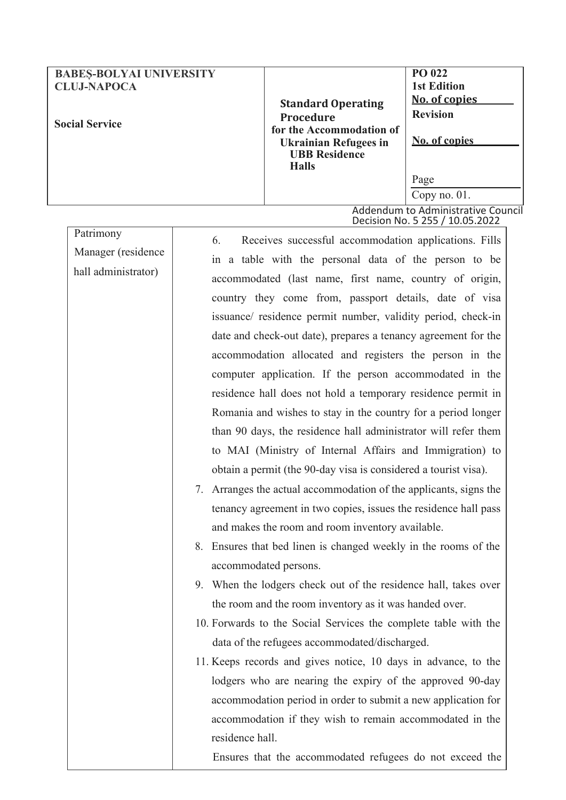| <b>BABES-BOLYAI UNIVERSITY</b><br><b>CLUJ-NAPOCA</b><br><b>Social Service</b> | <b>Standard Operating</b><br><b>Procedure</b><br>for the Accommodation of<br><b>Ukrainian Refugees in</b><br><b>UBB Residence</b><br><b>Halls</b> | PO 022<br><b>1st Edition</b><br><b>No. of copies</b><br><b>Revision</b><br>No. of copies |
|-------------------------------------------------------------------------------|---------------------------------------------------------------------------------------------------------------------------------------------------|------------------------------------------------------------------------------------------|
|                                                                               |                                                                                                                                                   | Page                                                                                     |
|                                                                               |                                                                                                                                                   | Copy no. $01$ .                                                                          |
|                                                                               |                                                                                                                                                   | Addendum to Administrative Council<br>Decision No. 5 255 / 10.05.2022                    |

| Patrimony           | 6.<br>Receives successful accommodation applications. Fills       |
|---------------------|-------------------------------------------------------------------|
| Manager (residence  | in a table with the personal data of the person to be             |
| hall administrator) | accommodated (last name, first name, country of origin,           |
|                     | country they come from, passport details, date of visa            |
|                     |                                                                   |
|                     | issuance/ residence permit number, validity period, check-in      |
|                     | date and check-out date), prepares a tenancy agreement for the    |
|                     | accommodation allocated and registers the person in the           |
|                     | computer application. If the person accommodated in the           |
|                     | residence hall does not hold a temporary residence permit in      |
|                     | Romania and wishes to stay in the country for a period longer     |
|                     | than 90 days, the residence hall administrator will refer them    |
|                     | to MAI (Ministry of Internal Affairs and Immigration) to          |
|                     | obtain a permit (the 90-day visa is considered a tourist visa).   |
|                     | 7. Arranges the actual accommodation of the applicants, signs the |
|                     | tenancy agreement in two copies, issues the residence hall pass   |
|                     | and makes the room and room inventory available.                  |
|                     | 8. Ensures that bed linen is changed weekly in the rooms of the   |
|                     | accommodated persons.                                             |
|                     | 9. When the lodgers check out of the residence hall, takes over   |
|                     | the room and the room inventory as it was handed over.            |
|                     | 10. Forwards to the Social Services the complete table with the   |
|                     | data of the refugees accommodated/discharged.                     |
|                     | 11. Keeps records and gives notice, 10 days in advance, to the    |
|                     | lodgers who are nearing the expiry of the approved 90-day         |
|                     | accommodation period in order to submit a new application for     |
|                     | accommodation if they wish to remain accommodated in the          |
|                     |                                                                   |
|                     | residence hall.                                                   |
|                     | Ensures that the accommodated refugees do not exceed the          |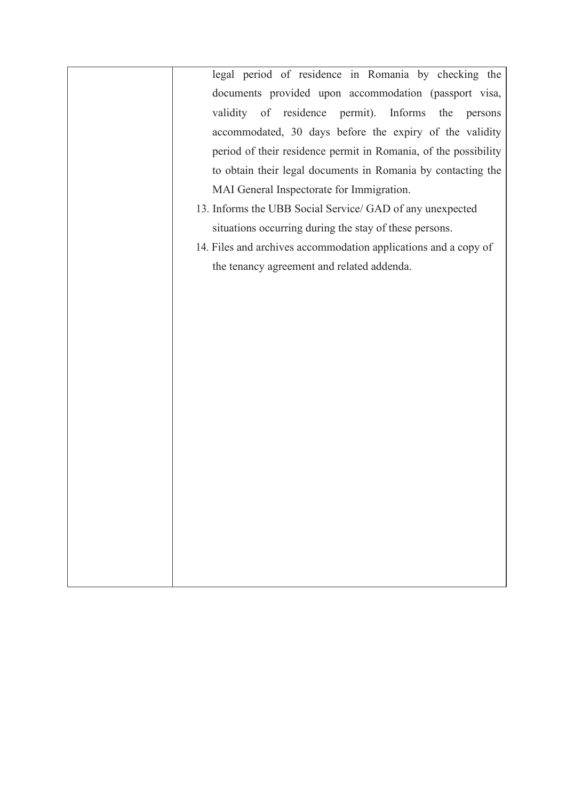legal period of residence in Romania by checking the documents provided upon accommodation (passport visa, validity of residence permit). Informs the persons accommodated, 30 days before the expiry of the validity period of their residence permit in Romania, of the possibility to obtain their legal documents in Romania by contacting the MAI General Inspectorate for Immigration. 13. Informs the UBB Social Service/ GAD of any unexpected situations occurring during the stay of these persons. 14. Files and archives accommodation applications and a copy of the tenancy agreement and related addenda.